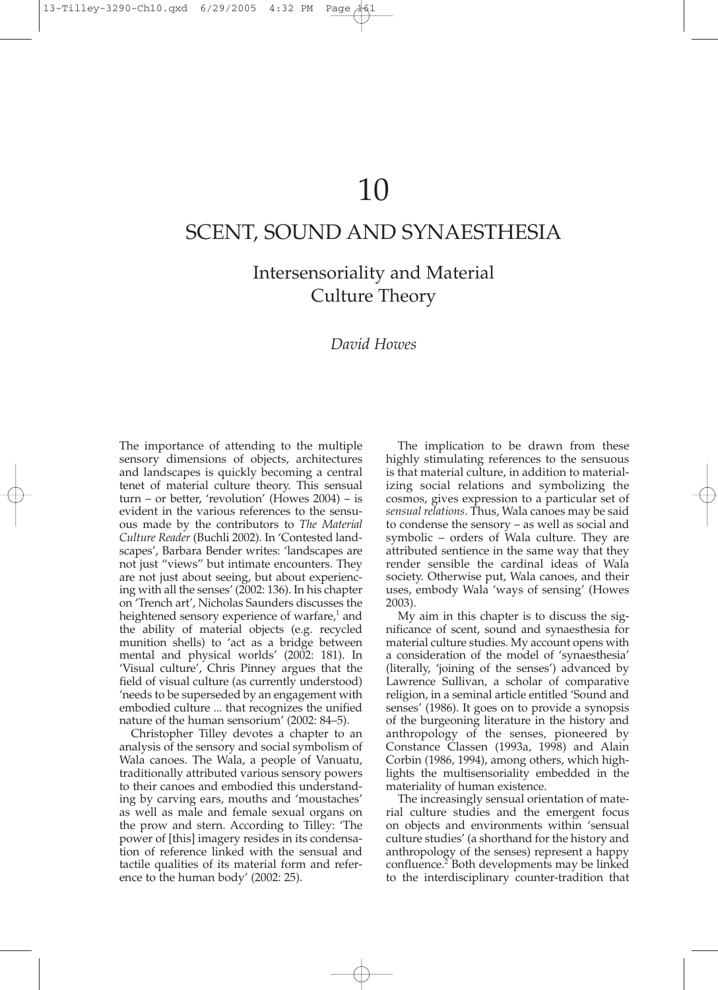# 10

# SCENT, SOUND AND SYNAESTHESIA

# Intersensoriality and Material Culture Theory

## *David Howes*

The importance of attending to the multiple sensory dimensions of objects, architectures and landscapes is quickly becoming a central tenet of material culture theory. This sensual turn – or better, 'revolution' (Howes 2004) – is evident in the various references to the sensuous made by the contributors to *The Material Culture Reader* (Buchli 2002). In 'Contested landscapes', Barbara Bender writes: 'landscapes are not just "views" but intimate encounters. They are not just about seeing, but about experiencing with all the senses' (2002: 136). In his chapter on 'Trench art', Nicholas Saunders discusses the heightened sensory experience of warfare, $1$  and the ability of material objects (e.g. recycled munition shells) to 'act as a bridge between mental and physical worlds' (2002: 181). In 'Visual culture', Chris Pinney argues that the field of visual culture (as currently understood) 'needs to be superseded by an engagement with embodied culture ... that recognizes the unified nature of the human sensorium' (2002: 84–5).

Christopher Tilley devotes a chapter to an analysis of the sensory and social symbolism of Wala canoes. The Wala, a people of Vanuatu, traditionally attributed various sensory powers to their canoes and embodied this understanding by carving ears, mouths and 'moustaches' as well as male and female sexual organs on the prow and stern. According to Tilley: 'The power of [this] imagery resides in its condensation of reference linked with the sensual and tactile qualities of its material form and reference to the human body' (2002: 25).

The implication to be drawn from these highly stimulating references to the sensuous is that material culture, in addition to materializing social relations and symbolizing the cosmos, gives expression to a particular set of *sensual relations*. Thus, Wala canoes may be said to condense the sensory – as well as social and symbolic – orders of Wala culture. They are attributed sentience in the same way that they render sensible the cardinal ideas of Wala society. Otherwise put, Wala canoes, and their uses, embody Wala 'ways of sensing' (Howes 2003).

My aim in this chapter is to discuss the significance of scent, sound and synaesthesia for material culture studies. My account opens with a consideration of the model of 'synaesthesia' (literally, 'joining of the senses') advanced by Lawrence Sullivan, a scholar of comparative religion, in a seminal article entitled 'Sound and senses' (1986). It goes on to provide a synopsis of the burgeoning literature in the history and anthropology of the senses, pioneered by Constance Classen (1993a, 1998) and Alain Corbin (1986, 1994), among others, which highlights the multisensoriality embedded in the materiality of human existence.

The increasingly sensual orientation of material culture studies and the emergent focus on objects and environments within 'sensual culture studies' (a shorthand for the history and anthropology of the senses) represent a happy confluence.<sup>2</sup> Both developments may be linked to the interdisciplinary counter-tradition that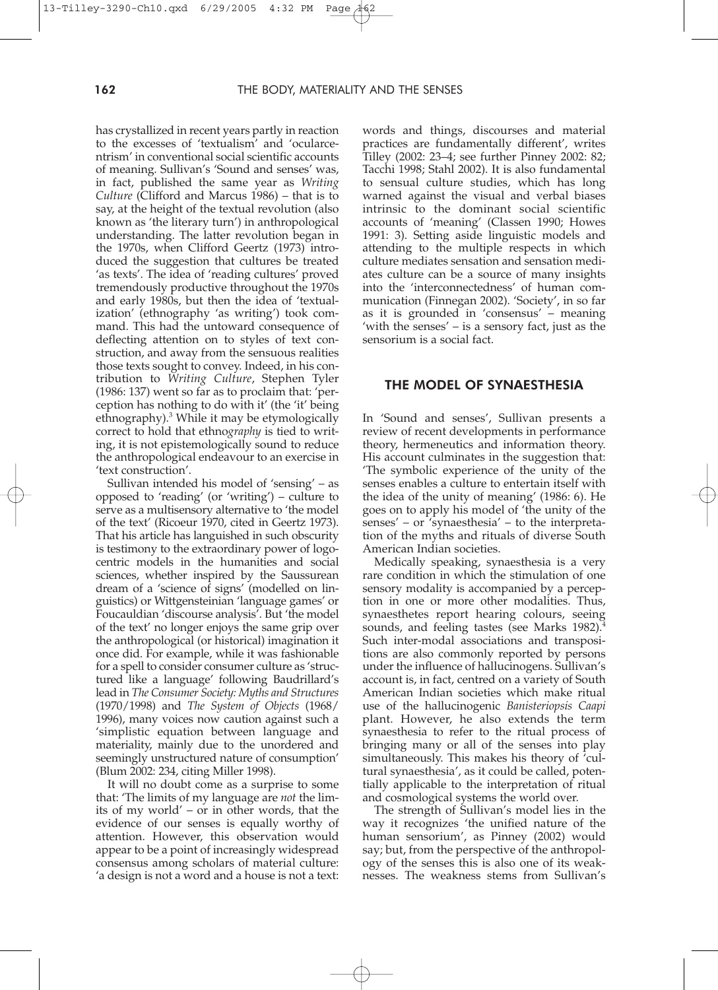has crystallized in recent years partly in reaction to the excesses of 'textualism' and 'ocularcentrism' in conventional social scientific accounts of meaning. Sullivan's 'Sound and senses' was, in fact, published the same year as *Writing Culture* (Clifford and Marcus 1986) – that is to say, at the height of the textual revolution (also known as 'the literary turn') in anthropological understanding. The latter revolution began in the 1970s, when Clifford Geertz (1973) introduced the suggestion that cultures be treated 'as texts'. The idea of 'reading cultures' proved tremendously productive throughout the 1970s and early 1980s, but then the idea of 'textualization' (ethnography 'as writing') took command. This had the untoward consequence of deflecting attention on to styles of text construction, and away from the sensuous realities those texts sought to convey. Indeed, in his contribution to *Writing Culture*, Stephen Tyler (1986: 137) went so far as to proclaim that: 'perception has nothing to do with it' (the 'it' being ethnography).3 While it may be etymologically correct to hold that ethno*graphy* is tied to writing, it is not epistemologically sound to reduce the anthropological endeavour to an exercise in 'text construction'.

Sullivan intended his model of 'sensing' – as opposed to 'reading' (or 'writing') – culture to serve as a multisensory alternative to 'the model of the text' (Ricoeur 1970, cited in Geertz 1973). That his article has languished in such obscurity is testimony to the extraordinary power of logocentric models in the humanities and social sciences, whether inspired by the Saussurean dream of a 'science of signs' (modelled on linguistics) or Wittgensteinian 'language games' or Foucauldian 'discourse analysis'. But 'the model of the text' no longer enjoys the same grip over the anthropological (or historical) imagination it once did. For example, while it was fashionable for a spell to consider consumer culture as 'structured like a language' following Baudrillard's lead in *The Consumer Society: Myths and Structures* (1970/1998) and *The System of Objects* (1968/ 1996), many voices now caution against such a 'simplistic equation between language and materiality, mainly due to the unordered and seemingly unstructured nature of consumption' (Blum 2002: 234, citing Miller 1998).

It will no doubt come as a surprise to some that: 'The limits of my language are *not* the limits of my world' – or in other words, that the evidence of our senses is equally worthy of attention. However, this observation would appear to be a point of increasingly widespread consensus among scholars of material culture: 'a design is not a word and a house is not a text: words and things, discourses and material practices are fundamentally different', writes Tilley (2002: 23–4; see further Pinney 2002: 82; Tacchi 1998; Stahl 2002). It is also fundamental to sensual culture studies, which has long warned against the visual and verbal biases intrinsic to the dominant social scientific accounts of 'meaning' (Classen 1990; Howes 1991: 3). Setting aside linguistic models and attending to the multiple respects in which culture mediates sensation and sensation mediates culture can be a source of many insights into the 'interconnectedness' of human communication (Finnegan 2002). 'Society', in so far as it is grounded in 'consensus' – meaning 'with the senses' – is a sensory fact, just as the sensorium is a social fact.

#### THE MODEL OF SYNAESTHESIA

In 'Sound and senses', Sullivan presents a review of recent developments in performance theory, hermeneutics and information theory. His account culminates in the suggestion that: 'The symbolic experience of the unity of the senses enables a culture to entertain itself with the idea of the unity of meaning' (1986: 6). He goes on to apply his model of 'the unity of the senses' – or 'synaesthesia' – to the interpretation of the myths and rituals of diverse South American Indian societies.

Medically speaking, synaesthesia is a very rare condition in which the stimulation of one sensory modality is accompanied by a perception in one or more other modalities. Thus, synaesthetes report hearing colours, seeing sounds, and feeling tastes (see Marks 1982).<sup>4</sup> Such inter-modal associations and transpositions are also commonly reported by persons under the influence of hallucinogens. Sullivan's account is, in fact, centred on a variety of South American Indian societies which make ritual use of the hallucinogenic *Banisteriopsis Caapi* plant. However, he also extends the term synaesthesia to refer to the ritual process of bringing many or all of the senses into play simultaneously. This makes his theory of 'cultural synaesthesia', as it could be called, potentially applicable to the interpretation of ritual and cosmological systems the world over.

The strength of Sullivan's model lies in the way it recognizes 'the unified nature of the human sensorium', as Pinney (2002) would say; but, from the perspective of the anthropology of the senses this is also one of its weaknesses. The weakness stems from Sullivan's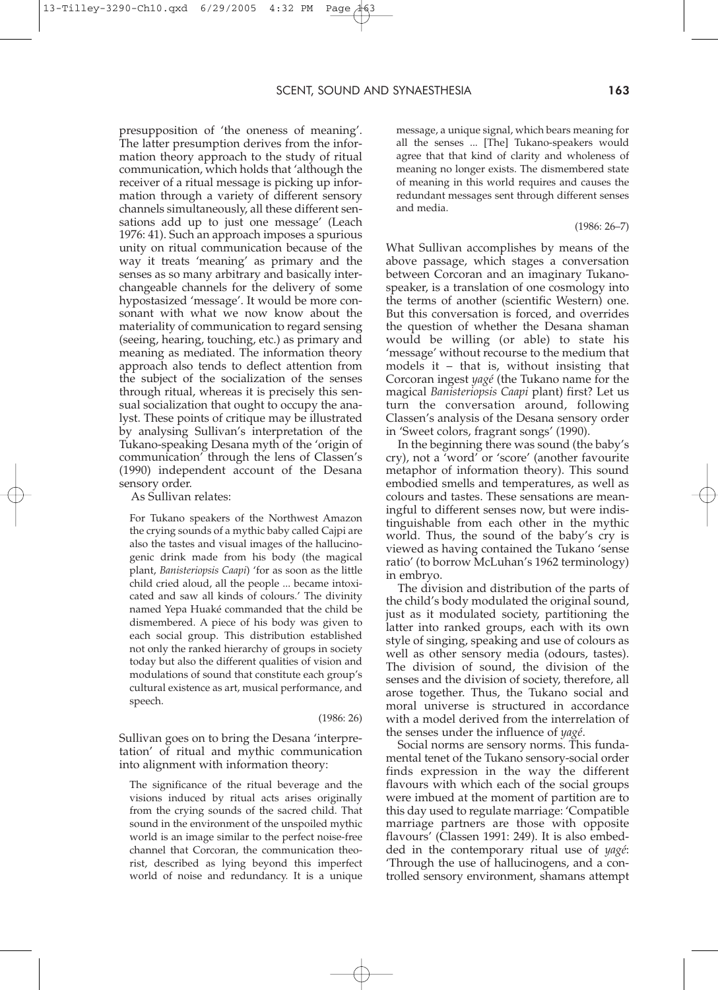#### SCENT, SOUND AND SYNAESTHESIA 163

presupposition of 'the oneness of meaning'. The latter presumption derives from the information theory approach to the study of ritual communication, which holds that 'although the receiver of a ritual message is picking up information through a variety of different sensory channels simultaneously, all these different sensations add up to just one message' (Leach 1976: 41). Such an approach imposes a spurious unity on ritual communication because of the way it treats 'meaning' as primary and the senses as so many arbitrary and basically interchangeable channels for the delivery of some hypostasized 'message'. It would be more consonant with what we now know about the materiality of communication to regard sensing (seeing, hearing, touching, etc.) as primary and meaning as mediated. The information theory approach also tends to deflect attention from the subject of the socialization of the senses through ritual, whereas it is precisely this sensual socialization that ought to occupy the analyst. These points of critique may be illustrated by analysing Sullivan's interpretation of the Tukano-speaking Desana myth of the 'origin of communication' through the lens of Classen's (1990) independent account of the Desana sensory order.

As Sullivan relates:

For Tukano speakers of the Northwest Amazon the crying sounds of a mythic baby called Cajpi are also the tastes and visual images of the hallucinogenic drink made from his body (the magical plant, *Banisteriopsis Caapi*) 'for as soon as the little child cried aloud, all the people ... became intoxicated and saw all kinds of colours.' The divinity named Yepa Huaké commanded that the child be dismembered. A piece of his body was given to each social group. This distribution established not only the ranked hierarchy of groups in society today but also the different qualities of vision and modulations of sound that constitute each group's cultural existence as art, musical performance, and speech.

#### (1986: 26)

Sullivan goes on to bring the Desana 'interpretation' of ritual and mythic communication into alignment with information theory:

The significance of the ritual beverage and the visions induced by ritual acts arises originally from the crying sounds of the sacred child. That sound in the environment of the unspoiled mythic world is an image similar to the perfect noise-free channel that Corcoran, the communication theorist, described as lying beyond this imperfect world of noise and redundancy. It is a unique

message, a unique signal, which bears meaning for all the senses ... [The] Tukano-speakers would agree that that kind of clarity and wholeness of meaning no longer exists. The dismembered state of meaning in this world requires and causes the redundant messages sent through different senses and media.

#### (1986: 26–7)

What Sullivan accomplishes by means of the above passage, which stages a conversation between Corcoran and an imaginary Tukanospeaker, is a translation of one cosmology into the terms of another (scientific Western) one. But this conversation is forced, and overrides the question of whether the Desana shaman would be willing (or able) to state his 'message' without recourse to the medium that models it – that is, without insisting that Corcoran ingest *yagé* (the Tukano name for the magical *Banisteriopsis Caapi* plant) first? Let us turn the conversation around, following Classen's analysis of the Desana sensory order in 'Sweet colors, fragrant songs' (1990).

In the beginning there was sound (the baby's cry), not a 'word' or 'score' (another favourite metaphor of information theory). This sound embodied smells and temperatures, as well as colours and tastes. These sensations are meaningful to different senses now, but were indistinguishable from each other in the mythic world. Thus, the sound of the baby's cry is viewed as having contained the Tukano 'sense ratio' (to borrow McLuhan's 1962 terminology) in embryo.

The division and distribution of the parts of the child's body modulated the original sound, just as it modulated society, partitioning the latter into ranked groups, each with its own style of singing, speaking and use of colours as well as other sensory media (odours, tastes). The division of sound, the division of the senses and the division of society, therefore, all arose together. Thus, the Tukano social and moral universe is structured in accordance with a model derived from the interrelation of the senses under the influence of *yagé*.

Social norms are sensory norms. This fundamental tenet of the Tukano sensory-social order finds expression in the way the different flavours with which each of the social groups were imbued at the moment of partition are to this day used to regulate marriage: 'Compatible marriage partners are those with opposite flavours' (Classen 1991: 249). It is also embedded in the contemporary ritual use of *yagé*: 'Through the use of hallucinogens, and a controlled sensory environment, shamans attempt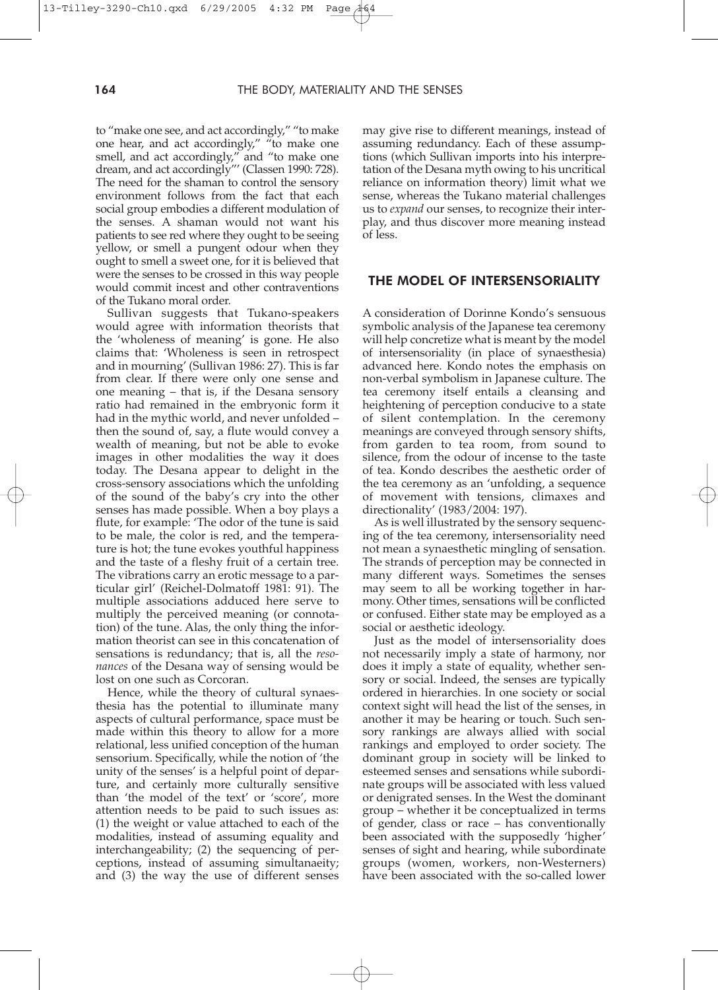to "make one see, and act accordingly," "to make one hear, and act accordingly," "to make one smell, and act accordingly," and "to make one dream, and act accordingly"' (Classen 1990: 728). The need for the shaman to control the sensory environment follows from the fact that each social group embodies a different modulation of the senses. A shaman would not want his patients to see red where they ought to be seeing yellow, or smell a pungent odour when they ought to smell a sweet one, for it is believed that were the senses to be crossed in this way people would commit incest and other contraventions of the Tukano moral order.

Sullivan suggests that Tukano-speakers would agree with information theorists that the 'wholeness of meaning' is gone. He also claims that: 'Wholeness is seen in retrospect and in mourning' (Sullivan 1986: 27). This is far from clear. If there were only one sense and one meaning – that is, if the Desana sensory ratio had remained in the embryonic form it had in the mythic world, and never unfolded – then the sound of, say, a flute would convey a wealth of meaning, but not be able to evoke images in other modalities the way it does today. The Desana appear to delight in the cross-sensory associations which the unfolding of the sound of the baby's cry into the other senses has made possible. When a boy plays a flute, for example: 'The odor of the tune is said to be male, the color is red, and the temperature is hot; the tune evokes youthful happiness and the taste of a fleshy fruit of a certain tree. The vibrations carry an erotic message to a particular girl' (Reichel-Dolmatoff 1981: 91). The multiple associations adduced here serve to multiply the perceived meaning (or connotation) of the tune. Alas, the only thing the information theorist can see in this concatenation of sensations is redundancy; that is, all the *resonances* of the Desana way of sensing would be lost on one such as Corcoran.

Hence, while the theory of cultural synaesthesia has the potential to illuminate many aspects of cultural performance, space must be made within this theory to allow for a more relational, less unified conception of the human sensorium. Specifically, while the notion of 'the unity of the senses' is a helpful point of departure, and certainly more culturally sensitive than 'the model of the text' or 'score', more attention needs to be paid to such issues as: (1) the weight or value attached to each of the modalities, instead of assuming equality and interchangeability; (2) the sequencing of perceptions, instead of assuming simultanaeity; and (3) the way the use of different senses may give rise to different meanings, instead of assuming redundancy. Each of these assumptions (which Sullivan imports into his interpretation of the Desana myth owing to his uncritical reliance on information theory) limit what we sense, whereas the Tukano material challenges us to *expand* our senses, to recognize their interplay, and thus discover more meaning instead of less.

#### THE MODEL OF INTERSENSORIALITY

A consideration of Dorinne Kondo's sensuous symbolic analysis of the Japanese tea ceremony will help concretize what is meant by the model of intersensoriality (in place of synaesthesia) advanced here. Kondo notes the emphasis on non-verbal symbolism in Japanese culture. The tea ceremony itself entails a cleansing and heightening of perception conducive to a state of silent contemplation. In the ceremony meanings are conveyed through sensory shifts, from garden to tea room, from sound to silence, from the odour of incense to the taste of tea. Kondo describes the aesthetic order of the tea ceremony as an 'unfolding, a sequence of movement with tensions, climaxes and directionality' (1983/2004: 197).

As is well illustrated by the sensory sequencing of the tea ceremony, intersensoriality need not mean a synaesthetic mingling of sensation. The strands of perception may be connected in many different ways. Sometimes the senses may seem to all be working together in harmony. Other times, sensations will be conflicted or confused. Either state may be employed as a social or aesthetic ideology.

Just as the model of intersensoriality does not necessarily imply a state of harmony, nor does it imply a state of equality, whether sensory or social. Indeed, the senses are typically ordered in hierarchies. In one society or social context sight will head the list of the senses, in another it may be hearing or touch. Such sensory rankings are always allied with social rankings and employed to order society. The dominant group in society will be linked to esteemed senses and sensations while subordinate groups will be associated with less valued or denigrated senses. In the West the dominant group – whether it be conceptualized in terms of gender, class or race – has conventionally been associated with the supposedly 'higher' senses of sight and hearing, while subordinate groups (women, workers, non-Westerners) have been associated with the so-called lower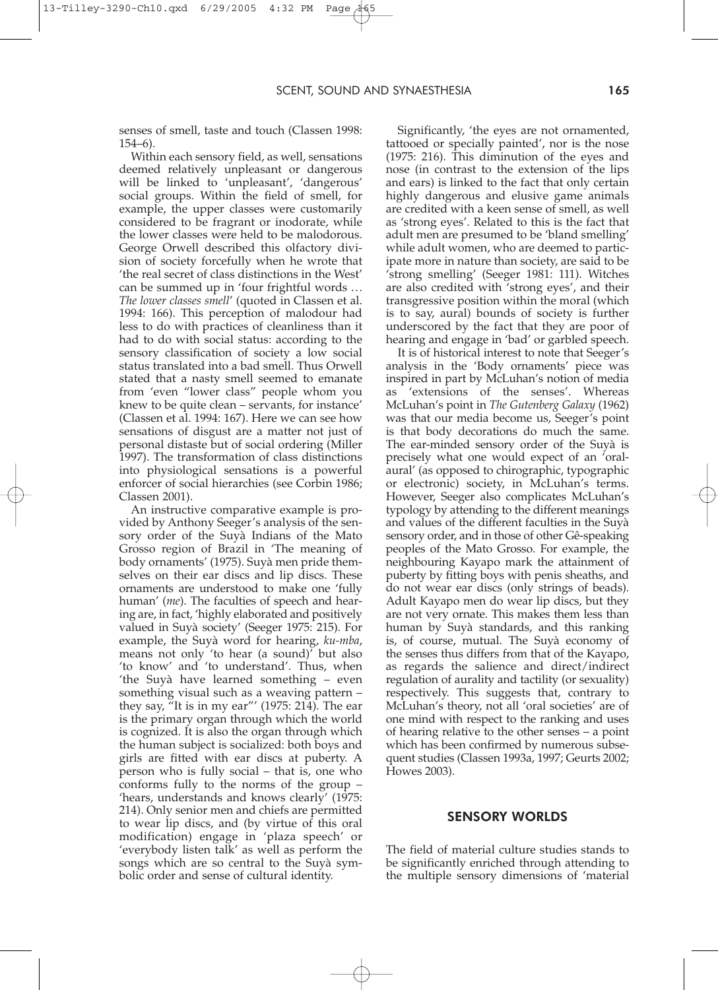senses of smell, taste and touch (Classen 1998: 154–6).

Within each sensory field, as well, sensations deemed relatively unpleasant or dangerous will be linked to 'unpleasant', 'dangerous' social groups. Within the field of smell, for example, the upper classes were customarily considered to be fragrant or inodorate, while the lower classes were held to be malodorous. George Orwell described this olfactory division of society forcefully when he wrote that 'the real secret of class distinctions in the West' can be summed up in 'four frightful words ... *The lower classes smell*' (quoted in Classen et al. 1994: 166). This perception of malodour had less to do with practices of cleanliness than it had to do with social status: according to the sensory classification of society a low social status translated into a bad smell. Thus Orwell stated that a nasty smell seemed to emanate from 'even "lower class" people whom you knew to be quite clean – servants, for instance' (Classen et al. 1994: 167). Here we can see how sensations of disgust are a matter not just of personal distaste but of social ordering (Miller 1997). The transformation of class distinctions into physiological sensations is a powerful enforcer of social hierarchies (see Corbin 1986; Classen 2001).

An instructive comparative example is provided by Anthony Seeger's analysis of the sensory order of the Suyà Indians of the Mato Grosso region of Brazil in 'The meaning of body ornaments' (1975). Suyà men pride themselves on their ear discs and lip discs. These ornaments are understood to make one 'fully human' (*me*). The faculties of speech and hearing are, in fact, 'highly elaborated and positively valued in Suyà society' (Seeger 1975: 215). For example, the Suyà word for hearing, *ku-mba*, means not only 'to hear (a sound)' but also 'to know' and 'to understand'. Thus, when 'the Suyà have learned something – even something visual such as a weaving pattern – they say, "It is in my ear"' (1975: 214). The ear is the primary organ through which the world is cognized. It is also the organ through which the human subject is socialized: both boys and girls are fitted with ear discs at puberty. A person who is fully social – that is, one who conforms fully to the norms of the group – 'hears, understands and knows clearly' (1975: 214). Only senior men and chiefs are permitted to wear lip discs, and (by virtue of this oral modification) engage in 'plaza speech' or 'everybody listen talk' as well as perform the songs which are so central to the Suyà symbolic order and sense of cultural identity.

Significantly, 'the eyes are not ornamented, tattooed or specially painted', nor is the nose (1975: 216). This diminution of the eyes and nose (in contrast to the extension of the lips and ears) is linked to the fact that only certain highly dangerous and elusive game animals are credited with a keen sense of smell, as well as 'strong eyes'. Related to this is the fact that adult men are presumed to be 'bland smelling' while adult women, who are deemed to participate more in nature than society, are said to be 'strong smelling' (Seeger 1981: 111). Witches are also credited with 'strong eyes', and their transgressive position within the moral (which is to say, aural) bounds of society is further underscored by the fact that they are poor of hearing and engage in 'bad' or garbled speech.

It is of historical interest to note that Seeger's analysis in the 'Body ornaments' piece was inspired in part by McLuhan's notion of media as 'extensions of the senses'. Whereas McLuhan's point in *The Gutenberg Galaxy* (1962) was that our media become us, Seeger's point is that body decorations do much the same. The ear-minded sensory order of the Suyà is precisely what one would expect of an 'oralaural' (as opposed to chirographic, typographic or electronic) society, in McLuhan's terms. However, Seeger also complicates McLuhan's typology by attending to the different meanings and values of the different faculties in the Suyà sensory order, and in those of other Gê-speaking peoples of the Mato Grosso. For example, the neighbouring Kayapo mark the attainment of puberty by fitting boys with penis sheaths, and do not wear ear discs (only strings of beads). Adult Kayapo men do wear lip discs, but they are not very ornate. This makes them less than human by Suyà standards, and this ranking is, of course, mutual. The Suyà economy of the senses thus differs from that of the Kayapo, as regards the salience and direct/indirect regulation of aurality and tactility (or sexuality) respectively. This suggests that, contrary to McLuhan's theory, not all 'oral societies' are of one mind with respect to the ranking and uses of hearing relative to the other senses – a point which has been confirmed by numerous subsequent studies (Classen 1993a, 1997; Geurts 2002; Howes 2003).

### SENSORY WORLDS

The field of material culture studies stands to be significantly enriched through attending to the multiple sensory dimensions of 'material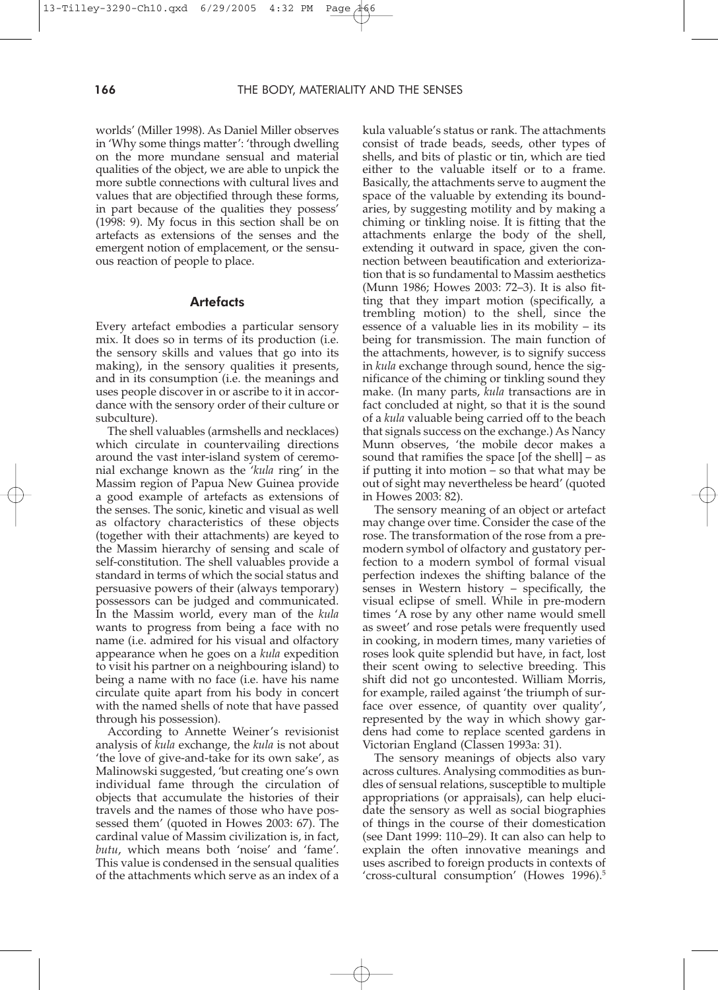worlds' (Miller 1998). As Daniel Miller observes in 'Why some things matter': 'through dwelling on the more mundane sensual and material qualities of the object, we are able to unpick the more subtle connections with cultural lives and values that are objectified through these forms, in part because of the qualities they possess' (1998: 9). My focus in this section shall be on artefacts as extensions of the senses and the emergent notion of emplacement, or the sensuous reaction of people to place.

#### **Artefacts**

Every artefact embodies a particular sensory mix. It does so in terms of its production (i.e. the sensory skills and values that go into its making), in the sensory qualities it presents, and in its consumption (i.e. the meanings and uses people discover in or ascribe to it in accordance with the sensory order of their culture or subculture).

The shell valuables (armshells and necklaces) which circulate in countervailing directions around the vast inter-island system of ceremonial exchange known as the '*kula* ring' in the Massim region of Papua New Guinea provide a good example of artefacts as extensions of the senses. The sonic, kinetic and visual as well as olfactory characteristics of these objects (together with their attachments) are keyed to the Massim hierarchy of sensing and scale of self-constitution. The shell valuables provide a standard in terms of which the social status and persuasive powers of their (always temporary) possessors can be judged and communicated. In the Massim world, every man of the *kula* wants to progress from being a face with no name (i.e. admired for his visual and olfactory appearance when he goes on a *kula* expedition to visit his partner on a neighbouring island) to being a name with no face (i.e. have his name circulate quite apart from his body in concert with the named shells of note that have passed through his possession).

According to Annette Weiner's revisionist analysis of *kula* exchange, the *kula* is not about 'the love of give-and-take for its own sake', as Malinowski suggested, 'but creating one's own individual fame through the circulation of objects that accumulate the histories of their travels and the names of those who have possessed them' (quoted in Howes 2003: 67). The cardinal value of Massim civilization is, in fact, *butu*, which means both 'noise' and 'fame'. This value is condensed in the sensual qualities of the attachments which serve as an index of a

kula valuable's status or rank. The attachments consist of trade beads, seeds, other types of shells, and bits of plastic or tin, which are tied either to the valuable itself or to a frame. Basically, the attachments serve to augment the space of the valuable by extending its boundaries, by suggesting motility and by making a chiming or tinkling noise. It is fitting that the attachments enlarge the body of the shell, extending it outward in space, given the connection between beautification and exteriorization that is so fundamental to Massim aesthetics (Munn 1986; Howes 2003: 72–3). It is also fitting that they impart motion (specifically, a trembling motion) to the shell, since the essence of a valuable lies in its mobility – its being for transmission. The main function of the attachments, however, is to signify success in *kula* exchange through sound, hence the significance of the chiming or tinkling sound they make. (In many parts, *kula* transactions are in fact concluded at night, so that it is the sound of a *kula* valuable being carried off to the beach that signals success on the exchange.) As Nancy Munn observes, 'the mobile decor makes a sound that ramifies the space [of the shell] – as if putting it into motion – so that what may be out of sight may nevertheless be heard' (quoted in Howes 2003: 82).

The sensory meaning of an object or artefact may change over time. Consider the case of the rose. The transformation of the rose from a premodern symbol of olfactory and gustatory perfection to a modern symbol of formal visual perfection indexes the shifting balance of the senses in Western history – specifically, the visual eclipse of smell. While in pre-modern times 'A rose by any other name would smell as sweet' and rose petals were frequently used in cooking, in modern times, many varieties of roses look quite splendid but have, in fact, lost their scent owing to selective breeding. This shift did not go uncontested. William Morris, for example, railed against 'the triumph of surface over essence, of quantity over quality', represented by the way in which showy gardens had come to replace scented gardens in Victorian England (Classen 1993a: 31).

The sensory meanings of objects also vary across cultures. Analysing commodities as bundles of sensual relations, susceptible to multiple appropriations (or appraisals), can help elucidate the sensory as well as social biographies of things in the course of their domestication (see Dant 1999: 110–29). It can also can help to explain the often innovative meanings and uses ascribed to foreign products in contexts of 'cross-cultural consumption' (Howes 1996).5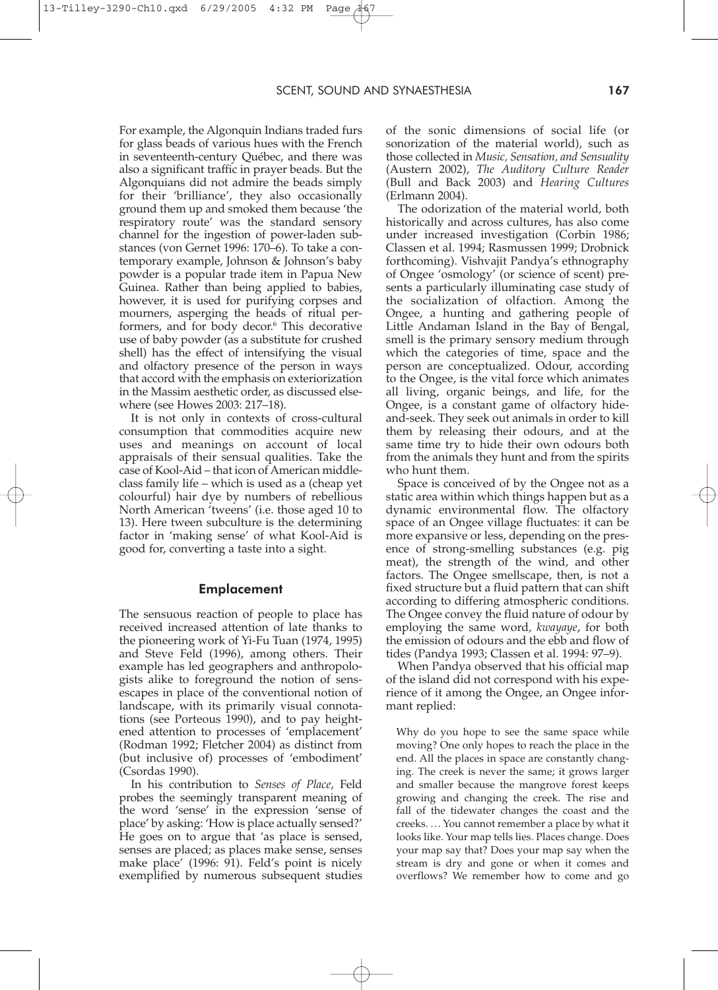#### SCENT, SOUND AND SYNAESTHESIA 167

For example, the Algonquin Indians traded furs for glass beads of various hues with the French in seventeenth-century Québec, and there was also a significant traffic in prayer beads. But the Algonquians did not admire the beads simply for their 'brilliance', they also occasionally ground them up and smoked them because 'the respiratory route' was the standard sensory channel for the ingestion of power-laden substances (von Gernet 1996: 170–6). To take a contemporary example, Johnson & Johnson's baby powder is a popular trade item in Papua New Guinea. Rather than being applied to babies, however, it is used for purifying corpses and mourners, asperging the heads of ritual performers, and for body decor.<sup>6</sup> This decorative use of baby powder (as a substitute for crushed shell) has the effect of intensifying the visual and olfactory presence of the person in ways that accord with the emphasis on exteriorization in the Massim aesthetic order, as discussed elsewhere (see Howes 2003: 217–18).

It is not only in contexts of cross-cultural consumption that commodities acquire new uses and meanings on account of local appraisals of their sensual qualities. Take the case of Kool-Aid – that icon of American middleclass family life – which is used as a (cheap yet colourful) hair dye by numbers of rebellious North American 'tweens' (i.e. those aged 10 to 13). Here tween subculture is the determining factor in 'making sense' of what Kool-Aid is good for, converting a taste into a sight.

#### Emplacement

The sensuous reaction of people to place has received increased attention of late thanks to the pioneering work of Yi-Fu Tuan (1974, 1995) and Steve Feld (1996), among others. Their example has led geographers and anthropologists alike to foreground the notion of sensescapes in place of the conventional notion of landscape, with its primarily visual connotations (see Porteous 1990), and to pay heightened attention to processes of 'emplacement' (Rodman 1992; Fletcher 2004) as distinct from (but inclusive of) processes of 'embodiment' (Csordas 1990).

In his contribution to *Senses of Place*, Feld probes the seemingly transparent meaning of the word 'sense' in the expression 'sense of place' by asking: 'How is place actually sensed?' He goes on to argue that 'as place is sensed, senses are placed; as places make sense, senses make place' (1996: 91). Feld's point is nicely exemplified by numerous subsequent studies of the sonic dimensions of social life (or sonorization of the material world), such as those collected in *Music, Sensation, and Sensuality* (Austern 2002), *The Auditory Culture Reader* (Bull and Back 2003) and *Hearing Cultures* (Erlmann 2004).

The odorization of the material world, both historically and across cultures, has also come under increased investigation (Corbin 1986; Classen et al. 1994; Rasmussen 1999; Drobnick forthcoming). Vishvajit Pandya's ethnography of Ongee 'osmology' (or science of scent) presents a particularly illuminating case study of the socialization of olfaction. Among the Ongee, a hunting and gathering people of Little Andaman Island in the Bay of Bengal, smell is the primary sensory medium through which the categories of time, space and the person are conceptualized. Odour, according to the Ongee, is the vital force which animates all living, organic beings, and life, for the Ongee, is a constant game of olfactory hideand-seek. They seek out animals in order to kill them by releasing their odours, and at the same time try to hide their own odours both from the animals they hunt and from the spirits who hunt them.

Space is conceived of by the Ongee not as a static area within which things happen but as a dynamic environmental flow. The olfactory space of an Ongee village fluctuates: it can be more expansive or less, depending on the presence of strong-smelling substances (e.g. pig meat), the strength of the wind, and other factors. The Ongee smellscape, then, is not a fixed structure but a fluid pattern that can shift according to differing atmospheric conditions. The Ongee convey the fluid nature of odour by employing the same word, *kwayaye*, for both the emission of odours and the ebb and flow of tides (Pandya 1993; Classen et al. 1994: 97–9).

When Pandya observed that his official map of the island did not correspond with his experience of it among the Ongee, an Ongee informant replied:

Why do you hope to see the same space while moving? One only hopes to reach the place in the end. All the places in space are constantly changing. The creek is never the same; it grows larger and smaller because the mangrove forest keeps growing and changing the creek. The rise and fall of the tidewater changes the coast and the creeks. ... You cannot remember a place by what it looks like. Your map tells lies. Places change. Does your map say that? Does your map say when the stream is dry and gone or when it comes and overflows? We remember how to come and go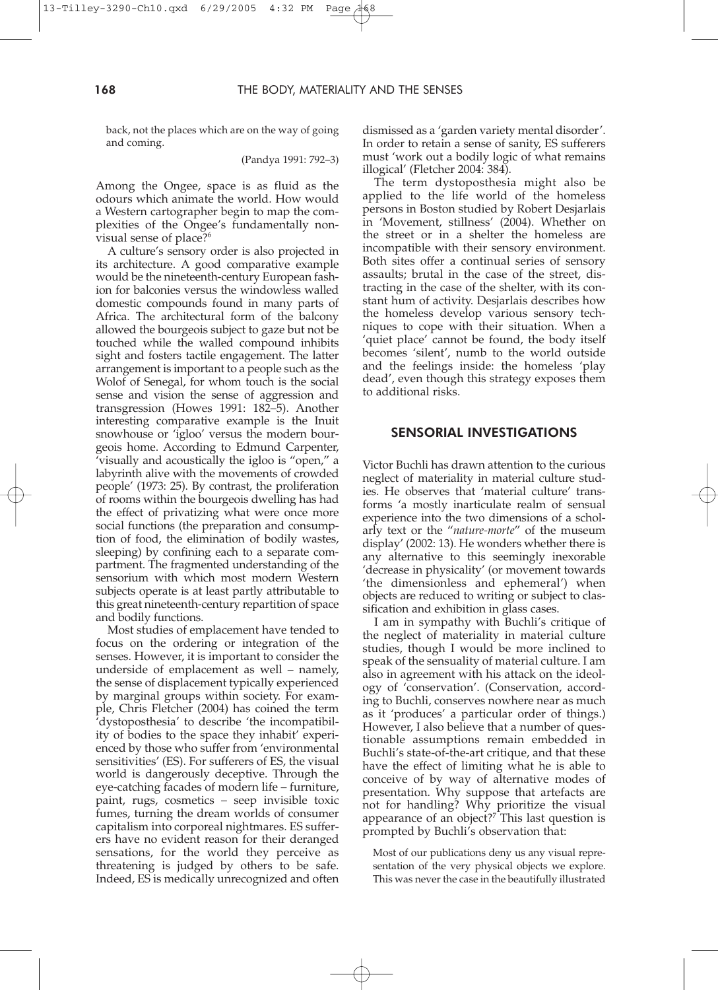back, not the places which are on the way of going and coming.

(Pandya 1991: 792–3)

Among the Ongee, space is as fluid as the odours which animate the world. How would a Western cartographer begin to map the complexities of the Ongee's fundamentally nonvisual sense of place?<sup>6</sup>

A culture's sensory order is also projected in its architecture. A good comparative example would be the nineteenth-century European fashion for balconies versus the windowless walled domestic compounds found in many parts of Africa. The architectural form of the balcony allowed the bourgeois subject to gaze but not be touched while the walled compound inhibits sight and fosters tactile engagement. The latter arrangement is important to a people such as the Wolof of Senegal, for whom touch is the social sense and vision the sense of aggression and transgression (Howes 1991: 182–5). Another interesting comparative example is the Inuit snowhouse or 'igloo' versus the modern bourgeois home. According to Edmund Carpenter, 'visually and acoustically the igloo is "open," a labyrinth alive with the movements of crowded people' (1973: 25). By contrast, the proliferation of rooms within the bourgeois dwelling has had the effect of privatizing what were once more social functions (the preparation and consumption of food, the elimination of bodily wastes, sleeping) by confining each to a separate compartment. The fragmented understanding of the sensorium with which most modern Western subjects operate is at least partly attributable to this great nineteenth-century repartition of space and bodily functions.

Most studies of emplacement have tended to focus on the ordering or integration of the senses. However, it is important to consider the underside of emplacement as well – namely, the sense of displacement typically experienced by marginal groups within society. For example, Chris Fletcher (2004) has coined the term 'dystoposthesia' to describe 'the incompatibility of bodies to the space they inhabit' experienced by those who suffer from 'environmental sensitivities' (ES). For sufferers of ES, the visual world is dangerously deceptive. Through the eye-catching facades of modern life – furniture, paint, rugs, cosmetics – seep invisible toxic fumes, turning the dream worlds of consumer capitalism into corporeal nightmares. ES sufferers have no evident reason for their deranged sensations, for the world they perceive as threatening is judged by others to be safe. Indeed, ES is medically unrecognized and often dismissed as a 'garden variety mental disorder'. In order to retain a sense of sanity, ES sufferers must 'work out a bodily logic of what remains illogical' (Fletcher 2004: 384).

The term dystoposthesia might also be applied to the life world of the homeless persons in Boston studied by Robert Desjarlais in 'Movement, stillness' (2004). Whether on the street or in a shelter the homeless are incompatible with their sensory environment. Both sites offer a continual series of sensory assaults; brutal in the case of the street, distracting in the case of the shelter, with its constant hum of activity. Desjarlais describes how the homeless develop various sensory techniques to cope with their situation. When a 'quiet place' cannot be found, the body itself becomes 'silent', numb to the world outside and the feelings inside: the homeless 'play dead', even though this strategy exposes them to additional risks.

### SENSORIAL INVESTIGATIONS

Victor Buchli has drawn attention to the curious neglect of materiality in material culture studies. He observes that 'material culture' transforms 'a mostly inarticulate realm of sensual experience into the two dimensions of a scholarly text or the "*nature-morte*" of the museum display' (2002: 13). He wonders whether there is any alternative to this seemingly inexorable 'decrease in physicality' (or movement towards 'the dimensionless and ephemeral') when objects are reduced to writing or subject to classification and exhibition in glass cases.

I am in sympathy with Buchli's critique of the neglect of materiality in material culture studies, though I would be more inclined to speak of the sensuality of material culture. I am also in agreement with his attack on the ideology of 'conservation'. (Conservation, according to Buchli, conserves nowhere near as much as it 'produces' a particular order of things.) However, I also believe that a number of questionable assumptions remain embedded in Buchli's state-of-the-art critique, and that these have the effect of limiting what he is able to conceive of by way of alternative modes of presentation. Why suppose that artefacts are not for handling? Why prioritize the visual appearance of an object?<sup>7</sup> This last question is prompted by Buchli's observation that:

Most of our publications deny us any visual representation of the very physical objects we explore. This was never the case in the beautifully illustrated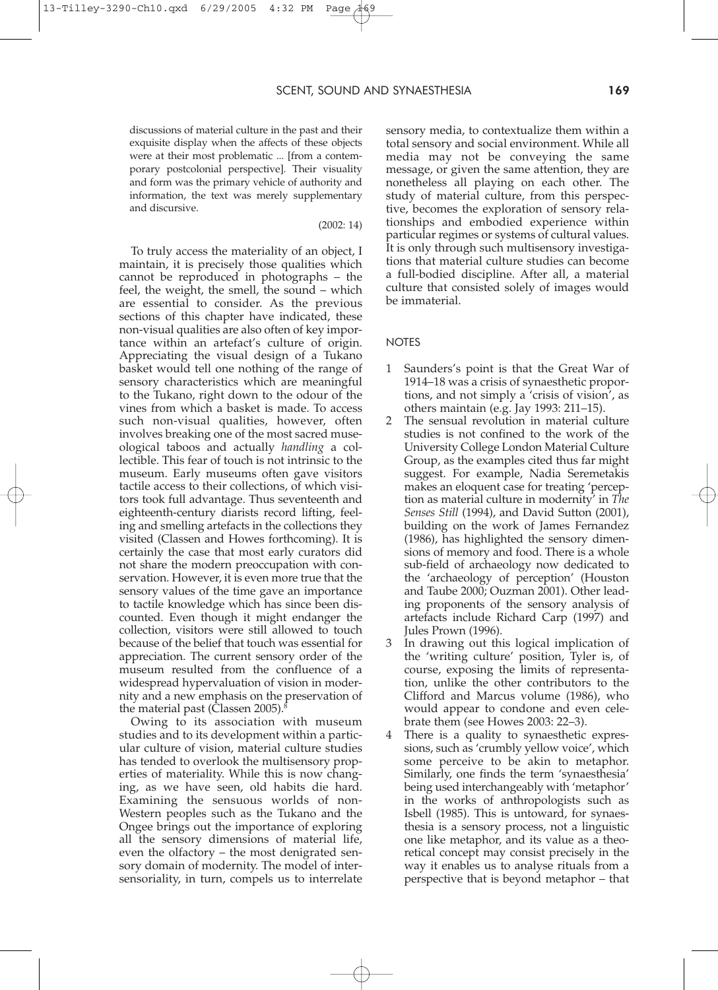discussions of material culture in the past and their exquisite display when the affects of these objects were at their most problematic ... [from a contemporary postcolonial perspective]. Their visuality and form was the primary vehicle of authority and information, the text was merely supplementary and discursive.

#### $(2002:14)$

To truly access the materiality of an object, I maintain, it is precisely those qualities which cannot be reproduced in photographs – the feel, the weight, the smell, the sound – which are essential to consider. As the previous sections of this chapter have indicated, these non-visual qualities are also often of key importance within an artefact's culture of origin. Appreciating the visual design of a Tukano basket would tell one nothing of the range of sensory characteristics which are meaningful to the Tukano, right down to the odour of the vines from which a basket is made. To access such non-visual qualities, however, often involves breaking one of the most sacred museological taboos and actually *handling* a collectible. This fear of touch is not intrinsic to the museum. Early museums often gave visitors tactile access to their collections, of which visitors took full advantage. Thus seventeenth and eighteenth-century diarists record lifting, feeling and smelling artefacts in the collections they visited (Classen and Howes forthcoming). It is certainly the case that most early curators did not share the modern preoccupation with conservation. However, it is even more true that the sensory values of the time gave an importance to tactile knowledge which has since been discounted. Even though it might endanger the collection, visitors were still allowed to touch because of the belief that touch was essential for appreciation. The current sensory order of the museum resulted from the confluence of a widespread hypervaluation of vision in modernity and a new emphasis on the preservation of the material past (Classen 2005).<sup>8</sup>

Owing to its association with museum studies and to its development within a particular culture of vision, material culture studies has tended to overlook the multisensory properties of materiality. While this is now changing, as we have seen, old habits die hard. Examining the sensuous worlds of non-Western peoples such as the Tukano and the Ongee brings out the importance of exploring all the sensory dimensions of material life, even the olfactory – the most denigrated sensory domain of modernity. The model of intersensoriality, in turn, compels us to interrelate

sensory media, to contextualize them within a total sensory and social environment. While all media may not be conveying the same message, or given the same attention, they are nonetheless all playing on each other. The study of material culture, from this perspective, becomes the exploration of sensory relationships and embodied experience within particular regimes or systems of cultural values. It is only through such multisensory investigations that material culture studies can become a full-bodied discipline. After all, a material culture that consisted solely of images would be immaterial.

#### NOTES

- Saunders's point is that the Great War of 1914–18 was a crisis of synaesthetic proportions, and not simply a 'crisis of vision', as others maintain (e.g. Jay 1993: 211–15).
- 2 The sensual revolution in material culture studies is not confined to the work of the University College London Material Culture Group, as the examples cited thus far might suggest. For example, Nadia Seremetakis makes an eloquent case for treating 'perception as material culture in modernity' in *The Senses Still* (1994), and David Sutton (2001), building on the work of James Fernandez (1986), has highlighted the sensory dimensions of memory and food. There is a whole sub-field of archaeology now dedicated to the 'archaeology of perception' (Houston and Taube 2000; Ouzman 2001). Other leading proponents of the sensory analysis of artefacts include Richard Carp (1997) and Jules Prown (1996).
- 3 In drawing out this logical implication of the 'writing culture' position, Tyler is, of course, exposing the limits of representation, unlike the other contributors to the Clifford and Marcus volume (1986), who would appear to condone and even celebrate them (see Howes 2003: 22–3).
- 4 There is a quality to synaesthetic expressions, such as 'crumbly yellow voice', which some perceive to be akin to metaphor. Similarly, one finds the term 'synaesthesia' being used interchangeably with 'metaphor' in the works of anthropologists such as Isbell (1985). This is untoward, for synaesthesia is a sensory process, not a linguistic one like metaphor, and its value as a theoretical concept may consist precisely in the way it enables us to analyse rituals from a perspective that is beyond metaphor – that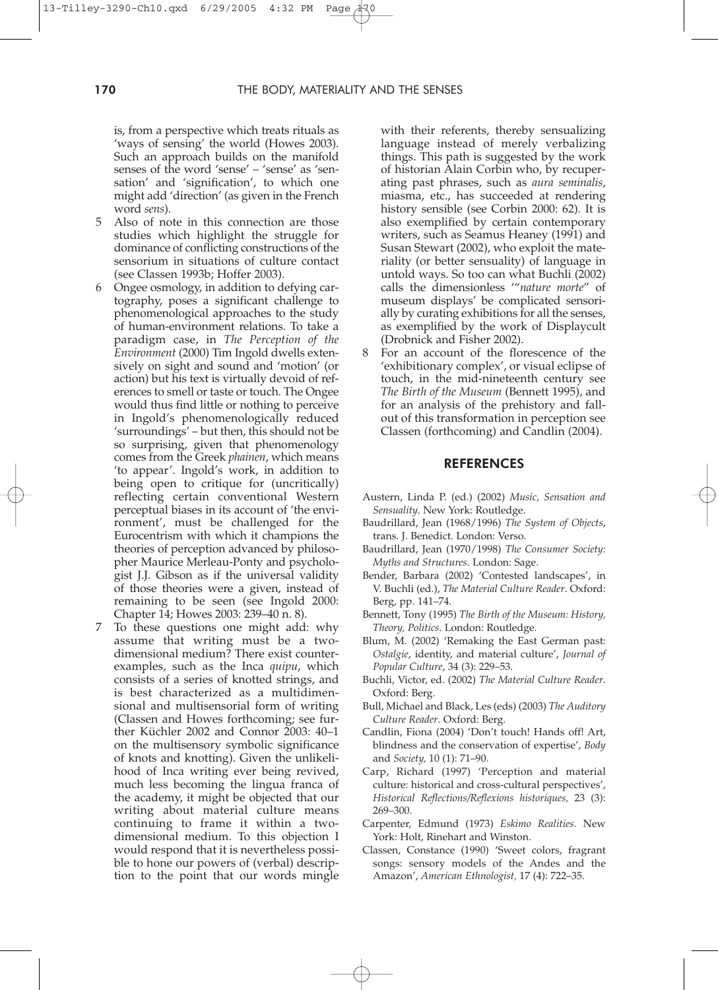is, from a perspective which treats rituals as 'ways of sensing' the world (Howes 2003). Such an approach builds on the manifold senses of the word 'sense' – 'sense' as 'sensation' and 'signification', to which one might add 'direction' (as given in the French word *sens*).

- 5 Also of note in this connection are those studies which highlight the struggle for dominance of conflicting constructions of the sensorium in situations of culture contact (see Classen 1993b; Hoffer 2003).
- Ongee osmology, in addition to defying cartography, poses a significant challenge to phenomenological approaches to the study of human-environment relations. To take a paradigm case, in *The Perception of the Environment* (2000) Tim Ingold dwells extensively on sight and sound and 'motion' (or action) but his text is virtually devoid of references to smell or taste or touch. The Ongee would thus find little or nothing to perceive in Ingold's phenomenologically reduced 'surroundings' – but then, this should not be so surprising, given that phenomenology comes from the Greek *phainen*, which means 'to appear'. Ingold's work, in addition to being open to critique for (uncritically) reflecting certain conventional Western perceptual biases in its account of 'the environment', must be challenged for the Eurocentrism with which it champions the theories of perception advanced by philosopher Maurice Merleau-Ponty and psychologist J.J. Gibson as if the universal validity of those theories were a given, instead of remaining to be seen (see Ingold 2000: Chapter 14; Howes 2003: 239–40 n. 8).
- 7 To these questions one might add: why assume that writing must be a twodimensional medium? There exist counterexamples, such as the Inca *quipu*, which consists of a series of knotted strings, and is best characterized as a multidimensional and multisensorial form of writing (Classen and Howes forthcoming; see further Küchler 2002 and Connor 2003: 40–1 on the multisensory symbolic significance of knots and knotting). Given the unlikelihood of Inca writing ever being revived, much less becoming the lingua franca of the academy, it might be objected that our writing about material culture means continuing to frame it within a twodimensional medium. To this objection I would respond that it is nevertheless possible to hone our powers of (verbal) description to the point that our words mingle

with their referents, thereby sensualizing language instead of merely verbalizing things. This path is suggested by the work of historian Alain Corbin who, by recuperating past phrases, such as *aura seminalis*, miasma, etc., has succeeded at rendering history sensible (see Corbin 2000: 62). It is also exemplified by certain contemporary writers, such as Seamus Heaney (1991) and Susan Stewart (2002), who exploit the materiality (or better sensuality) of language in untold ways. So too can what Buchli (2002) calls the dimensionless '"*nature morte*" of museum displays' be complicated sensorially by curating exhibitions for all the senses, as exemplified by the work of Displaycult (Drobnick and Fisher 2002).

For an account of the florescence of the 'exhibitionary complex', or visual eclipse of touch, in the mid-nineteenth century see *The Birth of the Museum* (Bennett 1995), and for an analysis of the prehistory and fallout of this transformation in perception see Classen (forthcoming) and Candlin (2004).

#### **REFERENCES**

- Austern, Linda P. (ed.) (2002) *Music, Sensation and Sensuality*. New York: Routledge.
- Baudrillard, Jean (1968/1996) *The System of Objects*, trans. J. Benedict. London: Verso.
- Baudrillard, Jean (1970/1998) *The Consumer Society: Myths and Structures*. London: Sage.
- Bender, Barbara (2002) 'Contested landscapes', in V. Buchli (ed.), *The Material Culture Reader*. Oxford: Berg, pp. 141–74.
- Bennett, Tony (1995) *The Birth of the Museum: History, Theory, Politics*. London: Routledge.
- Blum, M. (2002) 'Remaking the East German past: *Ostalgie*, identity, and material culture', *Journal of Popular Culture*, 34 (3): 229–53.
- Buchli, Victor, ed. (2002) *The Material Culture Reader*. Oxford: Berg.
- Bull, Michael and Black, Les (eds) (2003) *The Auditory Culture Reader*. Oxford: Berg.
- Candlin, Fiona (2004) 'Don't touch! Hands off! Art, blindness and the conservation of expertise', *Body* and *Society,* 10 (1): 71–90.
- Carp, Richard (1997) 'Perception and material culture: historical and cross-cultural perspectives', *Historical Reflections/Reflexions historiques,* 23 (3): 269–300.
- Carpenter, Edmund (1973) *Eskimo Realities*. New York: Holt, Rinehart and Winston.
- Classen, Constance (1990) 'Sweet colors, fragrant songs: sensory models of the Andes and the Amazon', *American Ethnologist,* 17 (4): 722–35.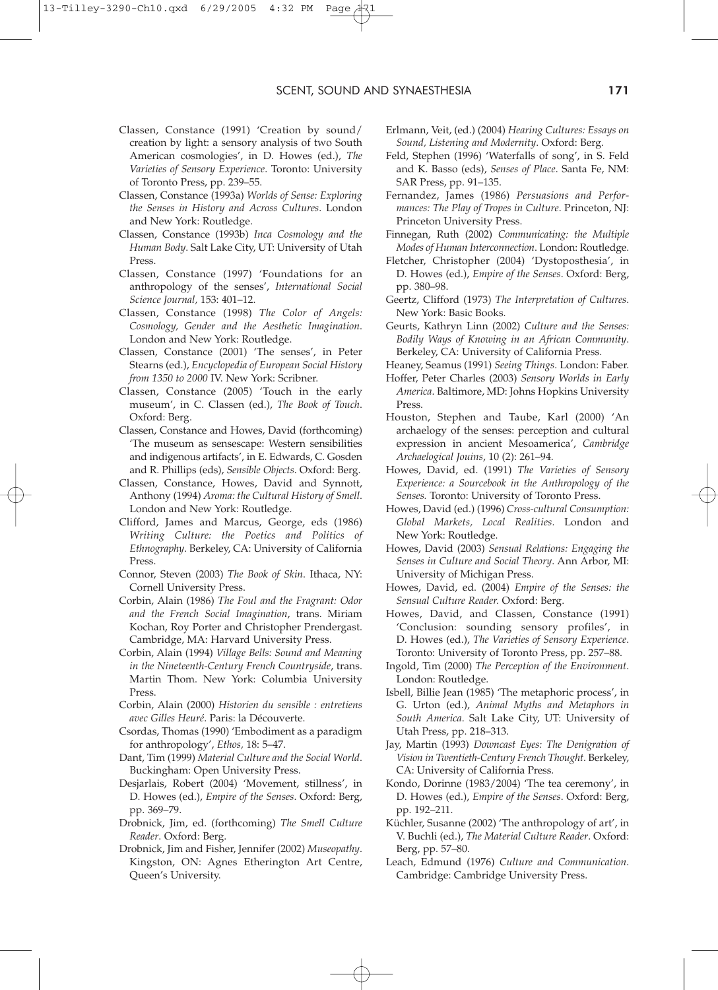Classen, Constance (1991) 'Creation by sound/ creation by light: a sensory analysis of two South American cosmologies', in D. Howes (ed.), *The Varieties of Sensory Experience*. Toronto: University of Toronto Press, pp. 239–55.

13-Tilley-3290-Ch10.qxd 6/29/2005 4:32 PM

- Classen, Constance (1993a) *Worlds of Sense: Exploring the Senses in History and Across Cultures*. London and New York: Routledge.
- Classen, Constance (1993b) *Inca Cosmology and the Human Body*. Salt Lake City, UT: University of Utah Press.
- Classen, Constance (1997) 'Foundations for an anthropology of the senses', *International Social Science Journal,* 153: 401–12.
- Classen, Constance (1998) *The Color of Angels: Cosmology, Gender and the Aesthetic Imagination*. London and New York: Routledge.
- Classen, Constance (2001) 'The senses', in Peter Stearns (ed.), *Encyclopedia of European Social History from 1350 to 2000* IV. New York: Scribner.
- Classen, Constance (2005) 'Touch in the early museum', in C. Classen (ed.), *The Book of Touch*. Oxford: Berg.
- Classen, Constance and Howes, David (forthcoming) 'The museum as sensescape: Western sensibilities and indigenous artifacts', in E. Edwards, C. Gosden and R. Phillips (eds), *Sensible Objects*. Oxford: Berg.
- Classen, Constance, Howes, David and Synnott, Anthony (1994) *Aroma: the Cultural History of Smell*. London and New York: Routledge.
- Clifford, James and Marcus, George, eds (1986) *Writing Culture: the Poetics and Politics of Ethnography*. Berkeley, CA: University of California Press.
- Connor, Steven (2003) *The Book of Skin*. Ithaca, NY: Cornell University Press.
- Corbin, Alain (1986) *The Foul and the Fragrant: Odor and the French Social Imagination*, trans. Miriam Kochan, Roy Porter and Christopher Prendergast. Cambridge, MA: Harvard University Press.
- Corbin, Alain (1994) *Village Bells: Sound and Meaning in the Nineteenth-Century French Countryside*, trans. Martin Thom. New York: Columbia University Press.
- Corbin, Alain (2000) *Historien du sensible : entretiens avec Gilles Heuré*. Paris: la Découverte.
- Csordas, Thomas (1990) 'Embodiment as a paradigm for anthropology', *Ethos,* 18: 5–47.
- Dant, Tim (1999) *Material Culture and the Social World*. Buckingham: Open University Press.
- Desjarlais, Robert (2004) 'Movement, stillness', in D. Howes (ed.), *Empire of the Senses*. Oxford: Berg, pp. 369–79.
- Drobnick, Jim, ed. (forthcoming) *The Smell Culture Reader*. Oxford: Berg.
- Drobnick, Jim and Fisher, Jennifer (2002) *Museopathy*. Kingston, ON: Agnes Etherington Art Centre, Queen's University.
- Erlmann, Veit, (ed.) (2004) *Hearing Cultures: Essays on Sound, Listening and Modernity*. Oxford: Berg.
- Feld, Stephen (1996) 'Waterfalls of song', in S. Feld and K. Basso (eds), *Senses of Place*. Santa Fe, NM: SAR Press, pp. 91–135.
- Fernandez, James (1986) *Persuasions and Performances: The Play of Tropes in Culture*. Princeton, NJ: Princeton University Press.
- Finnegan, Ruth (2002) *Communicating: the Multiple Modes of Human Interconnection*. London: Routledge.
- Fletcher, Christopher (2004) 'Dystoposthesia', in D. Howes (ed.), *Empire of the Senses*. Oxford: Berg, pp. 380–98.
- Geertz, Clifford (1973) *The Interpretation of Cultures*. New York: Basic Books.
- Geurts, Kathryn Linn (2002) *Culture and the Senses: Bodily Ways of Knowing in an African Community*. Berkeley, CA: University of California Press.
- Heaney, Seamus (1991) *Seeing Things*. London: Faber.
- Hoffer, Peter Charles (2003) *Sensory Worlds in Early America*. Baltimore, MD: Johns Hopkins University Press.
- Houston, Stephen and Taube, Karl (2000) 'An archaelogy of the senses: perception and cultural expression in ancient Mesoamerica', *Cambridge Archaelogical Jouins*, 10 (2): 261–94.
- Howes, David, ed. (1991) *The Varieties of Sensory Experience: a Sourcebook in the Anthropology of the Senses.* Toronto: University of Toronto Press.
- Howes, David (ed.) (1996) *Cross-cultural Consumption: Global Markets, Local Realities.* London and New York: Routledge.
- Howes, David (2003) *Sensual Relations: Engaging the Senses in Culture and Social Theory*. Ann Arbor, MI: University of Michigan Press.
- Howes, David, ed. (2004) *Empire of the Senses: the Sensual Culture Reader.* Oxford: Berg.
- Howes, David, and Classen, Constance (1991) 'Conclusion: sounding sensory profiles', in D. Howes (ed.), *The Varieties of Sensory Experience*. Toronto: University of Toronto Press, pp. 257–88.
- Ingold, Tim (2000) *The Perception of the Environment*. London: Routledge.
- Isbell, Billie Jean (1985) 'The metaphoric process', in G. Urton (ed.), *Animal Myths and Metaphors in South America*. Salt Lake City, UT: University of Utah Press, pp. 218–313.
- Jay, Martin (1993) *Downcast Eyes: The Denigration of Vision in Twentieth-Century French Thought*. Berkeley, CA: University of California Press.
- Kondo, Dorinne (1983/2004) 'The tea ceremony', in D. Howes (ed.), *Empire of the Senses*. Oxford: Berg, pp. 192–211.
- Küchler, Susanne (2002) 'The anthropology of art', in V. Buchli (ed.), *The Material Culture Reader*. Oxford: Berg, pp. 57–80.
- Leach, Edmund (1976) *Culture and Communication*. Cambridge: Cambridge University Press.